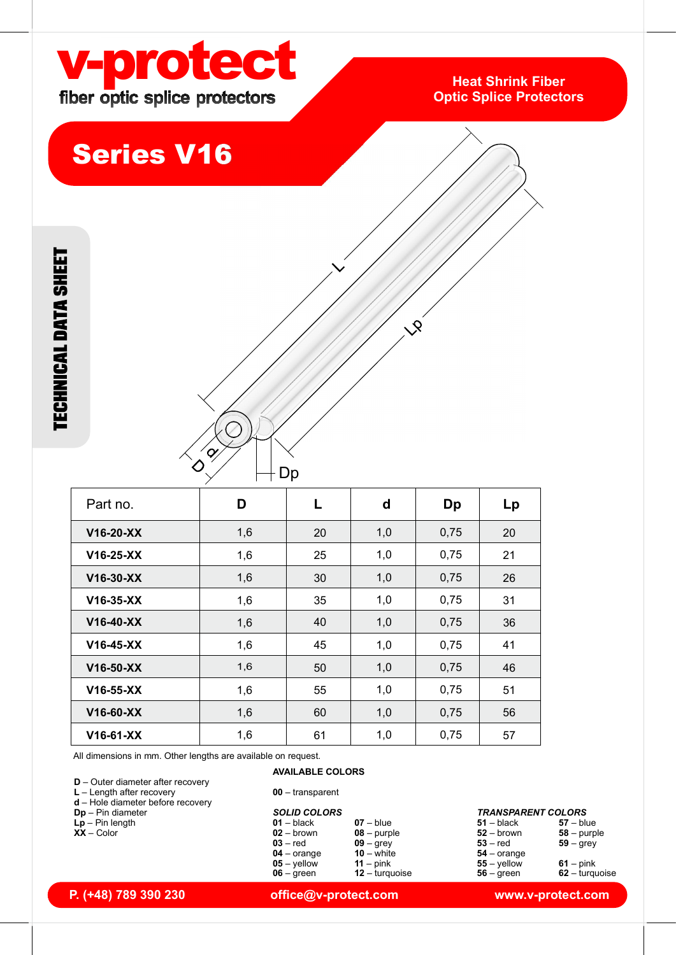

### Heat Shrink Fiber Optic Splice Protectors

# Series V16

| $\oslash$<br>$\left\langle \mathbf{q}\right\rangle$<br>$\bm{\Diamond}$ | $-Dp$       | $\mathcal{S}$               |           |        |  |  |  |
|------------------------------------------------------------------------|-------------|-----------------------------|-----------|--------|--|--|--|
| $\mathsf D$                                                            | $\mathsf L$ | $\operatorname{\mathsf{d}}$ | <b>Dp</b> | Lp     |  |  |  |
| $1,6$                                                                  | $20\,$      | $1,\!0$                     | 0,75      | $20\,$ |  |  |  |
| $1,6$                                                                  | 25          | $1,0$                       | 0,75      | 21     |  |  |  |
| $1,6$                                                                  | $30\,$      | $1,\!0$                     | 0,75      | $26\,$ |  |  |  |
| $1,6$                                                                  | $35\,$      | $1,\!0$                     | 0,75      | 31     |  |  |  |
| 1,6                                                                    | 40          | 1,0                         | 0,75      | $36\,$ |  |  |  |
| 1,6                                                                    | $\bf 45$    | $1,\!0$                     | 0,75      | 41     |  |  |  |

| $\mathscr{L}_{\mathscr{A}}$<br>$\Diamond$<br>Dp<br>D<br>Dp<br>Part no.<br>L<br>d<br>Lp<br>0,75<br>1,6<br>1,0<br>V16-20-XX<br>20<br>20<br>1,0<br>0,75<br>V16-25-XX<br>25<br>21<br>1,6<br>1,6<br>1,0<br>0,75<br>V16-30-XX<br>30<br>26<br>1,0<br>0,75<br>V16-35-XX<br>35<br>31<br>1,6<br>1,0<br>V16-40-XX<br>1,6<br>40<br>0,75<br>36<br>1,6<br>V16-45-XX<br>1,0<br>0,75<br>45<br>41<br>V16-50-XX<br>1,6<br>1,0<br>0,75<br>50<br>46<br>1,6<br>55<br>1,0<br>0,75<br>51<br>V16-55-XX<br>V16-60-XX<br>1,6<br>1,0<br>60<br>0,75<br>56<br>1,6<br>1,0<br>0,75<br>V16-61-XX<br>61<br>57<br>All dimensions in mm. Other lengths are available on request.<br><b>AVAILABLE COLORS</b><br><b>D</b> - Outer diameter after recovery<br>$L$ – Length after recovery<br>$00 -$ transparent<br>$d$ – Hole diameter before recovery<br>$Dp - Pin$ diameter<br><b>SOLID COLORS</b><br><b>TRANSPARENT COLORS</b><br>$Lp - Pin$ length<br>$01 - black$<br>$07 - blue$<br>$57 - blue$<br>$51 - black$<br>$\overline{XX}$ – Color<br>$02 -$ brown<br>$52 -$ brown<br>$08 -$ purple<br>$58 -$ purple<br>$03 - red$<br>$09 -$ grey<br>$53 - red$<br>$59 -$ grey<br>$04 - \text{orange}$<br>$10 -$ white<br>$54 - \text{orange}$<br>$05 -$ yellow<br>$11 - pink$<br>$55 -$ yellow<br>$61 - pink$<br>$62 -$ turquoise<br>$06 - green$<br>$12 -$ turquoise<br>$56 - green$ |  |           | $x^2$ |  |  |
|-----------------------------------------------------------------------------------------------------------------------------------------------------------------------------------------------------------------------------------------------------------------------------------------------------------------------------------------------------------------------------------------------------------------------------------------------------------------------------------------------------------------------------------------------------------------------------------------------------------------------------------------------------------------------------------------------------------------------------------------------------------------------------------------------------------------------------------------------------------------------------------------------------------------------------------------------------------------------------------------------------------------------------------------------------------------------------------------------------------------------------------------------------------------------------------------------------------------------------------------------------------------------------------------------------------------------------------------------|--|-----------|-------|--|--|
|                                                                                                                                                                                                                                                                                                                                                                                                                                                                                                                                                                                                                                                                                                                                                                                                                                                                                                                                                                                                                                                                                                                                                                                                                                                                                                                                               |  | $\oslash$ |       |  |  |
|                                                                                                                                                                                                                                                                                                                                                                                                                                                                                                                                                                                                                                                                                                                                                                                                                                                                                                                                                                                                                                                                                                                                                                                                                                                                                                                                               |  |           |       |  |  |
|                                                                                                                                                                                                                                                                                                                                                                                                                                                                                                                                                                                                                                                                                                                                                                                                                                                                                                                                                                                                                                                                                                                                                                                                                                                                                                                                               |  |           |       |  |  |
|                                                                                                                                                                                                                                                                                                                                                                                                                                                                                                                                                                                                                                                                                                                                                                                                                                                                                                                                                                                                                                                                                                                                                                                                                                                                                                                                               |  |           |       |  |  |
|                                                                                                                                                                                                                                                                                                                                                                                                                                                                                                                                                                                                                                                                                                                                                                                                                                                                                                                                                                                                                                                                                                                                                                                                                                                                                                                                               |  |           |       |  |  |
|                                                                                                                                                                                                                                                                                                                                                                                                                                                                                                                                                                                                                                                                                                                                                                                                                                                                                                                                                                                                                                                                                                                                                                                                                                                                                                                                               |  |           |       |  |  |
|                                                                                                                                                                                                                                                                                                                                                                                                                                                                                                                                                                                                                                                                                                                                                                                                                                                                                                                                                                                                                                                                                                                                                                                                                                                                                                                                               |  |           |       |  |  |
|                                                                                                                                                                                                                                                                                                                                                                                                                                                                                                                                                                                                                                                                                                                                                                                                                                                                                                                                                                                                                                                                                                                                                                                                                                                                                                                                               |  |           |       |  |  |
|                                                                                                                                                                                                                                                                                                                                                                                                                                                                                                                                                                                                                                                                                                                                                                                                                                                                                                                                                                                                                                                                                                                                                                                                                                                                                                                                               |  |           |       |  |  |
|                                                                                                                                                                                                                                                                                                                                                                                                                                                                                                                                                                                                                                                                                                                                                                                                                                                                                                                                                                                                                                                                                                                                                                                                                                                                                                                                               |  |           |       |  |  |
|                                                                                                                                                                                                                                                                                                                                                                                                                                                                                                                                                                                                                                                                                                                                                                                                                                                                                                                                                                                                                                                                                                                                                                                                                                                                                                                                               |  |           |       |  |  |
|                                                                                                                                                                                                                                                                                                                                                                                                                                                                                                                                                                                                                                                                                                                                                                                                                                                                                                                                                                                                                                                                                                                                                                                                                                                                                                                                               |  |           |       |  |  |
|                                                                                                                                                                                                                                                                                                                                                                                                                                                                                                                                                                                                                                                                                                                                                                                                                                                                                                                                                                                                                                                                                                                                                                                                                                                                                                                                               |  |           |       |  |  |
|                                                                                                                                                                                                                                                                                                                                                                                                                                                                                                                                                                                                                                                                                                                                                                                                                                                                                                                                                                                                                                                                                                                                                                                                                                                                                                                                               |  |           |       |  |  |
|                                                                                                                                                                                                                                                                                                                                                                                                                                                                                                                                                                                                                                                                                                                                                                                                                                                                                                                                                                                                                                                                                                                                                                                                                                                                                                                                               |  |           |       |  |  |
|                                                                                                                                                                                                                                                                                                                                                                                                                                                                                                                                                                                                                                                                                                                                                                                                                                                                                                                                                                                                                                                                                                                                                                                                                                                                                                                                               |  |           |       |  |  |

- Dp Pin diameter
- 
- XX Color

| $Dp - Pin$ diameter | <b>SOLID COLORS</b>  |    |
|---------------------|----------------------|----|
| $Lp - Pin$ length   | $01 - black$         | 07 |
| $XX - Color$        | $02 -$ brown         | 0٤ |
|                     | $03 - red$           | O٤ |
|                     | $04 - \text{orange}$ | 10 |
|                     | $05 -$ vellow        | 11 |
|                     | $06 -$ areen         | 12 |

| <b>SOLID COLORS</b> | <b>TRANSPARENT COLORS</b> |
|---------------------|---------------------------|
| .                   | <b>STATE COMPANY</b>      |

- -

#### P. (+48) 789 390 230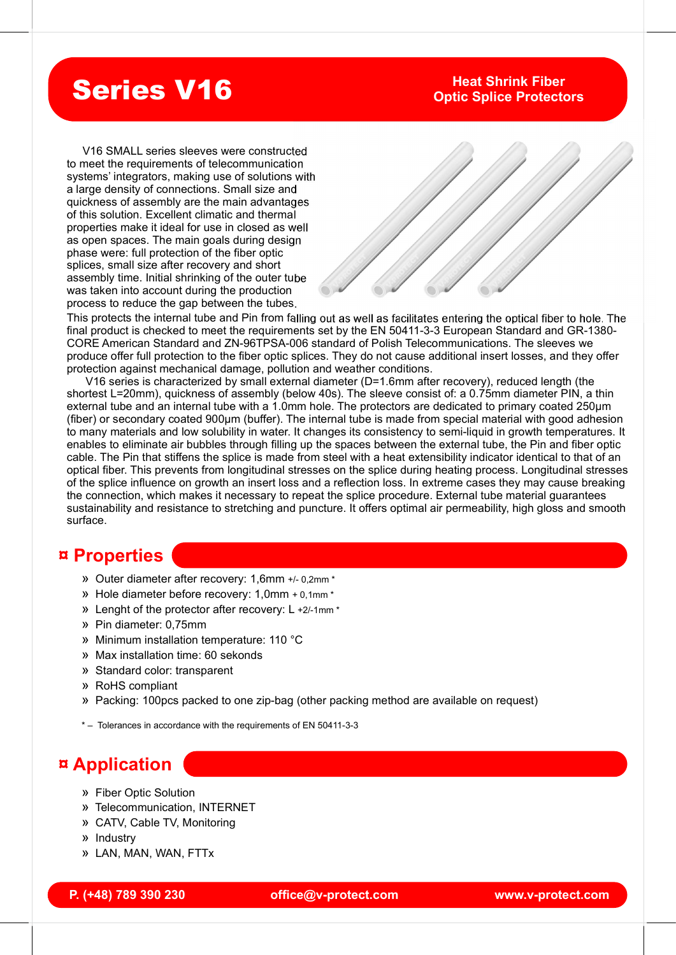# Series V16

### Heat Shrink Fiber Optic Splice Protectors

 V16 SMALL series sleeves were constructed to meet the requirements of telecommunication systems' integrators, making use of solutions with a large density of connections. Small size and quickness of assembly are the main advantages of this solution. Excellent climatic and thermal properties make it ideal for use in closed as well as open spaces. The main goals during design phase were: full protection of the fiber optic splices, small size after recovery and short assembly time. Initial shrinking of the outer tube was taken into account during the production process to reduce the gap between the tubes.



This protects the internal tube and Pin from falling out as well as facilitates entering the optical fiber to hole. The final product is checked to meet the requirements set by the EN 50411-3-3 European Standard and GR-1380- CORE American Standard and ZN-96TPSA-006 standard of Polish Telecommunications. The sleeves we produce offer full protection to the fiber optic splices. They do not cause additional insert losses, and they offer protection against mechanical damage, pollution and weather conditions.

 V16 series is characterized by small external diameter (D=1.6mm after recovery), reduced length (the shortest L=20mm), quickness of assembly (below 40s). The sleeve consist of: a 0.75mm diameter PIN, a thin external tube and an internal tube with a 1.0mm hole. The protectors are dedicated to primary coated 250µm (fiber) or secondary coated 900µm (buffer). The internal tube is made from special material with good adhesion to many materials and low solubility in water. It changes its consistency to semi-liquid in growth temperatures. It enables to eliminate air bubbles through filling up the spaces between the external tube, the Pin and fiber optic cable. The Pin that stiffens the splice is made from steel with a heat extensibility indicator identical to that of an optical fiber. This prevents from longitudinal stresses on the splice during heating process. Longitudinal stresses of the splice influence on growth an insert loss and a reflection loss. In extreme cases they may cause breaking the connection, which makes it necessary to repeat the splice procedure. External tube material guarantees sustainability and resistance to stretching and puncture. It offers optimal air permeability, high gloss and smooth surface.

## ¤ Properties

- » Outer diameter after recovery: 1,6mm +/- 0,2mm \*
- » Hole diameter before recovery: 1,0mm + 0,1mm \*
- » Lenght of the protector after recovery: L +2/-1mm \*
- » Pin diameter: 0,75mm
- » Minimum installation temperature: 110 °C
- » Max installation time: 60 sekonds
- » Standard color: transparent
- » RoHS compliant
- office @v-protect.com<br>
office @v-protect.com<br>
office @v-protect.com www.v-protect.com » Packing: 100pcs packed to one zip-bag (other packing method are available on request)

\* – Tolerances in accordance with the requirements of EN 50411-3-3

## ¤ Application

- » Fiber Optic Solution
- Telecommunication, INTERNET »
- » CATV, Cable TV, Monitoring
- » Industry
- » LAN, MAN, WAN, FTTx

#### P. (+48) 789 390 230